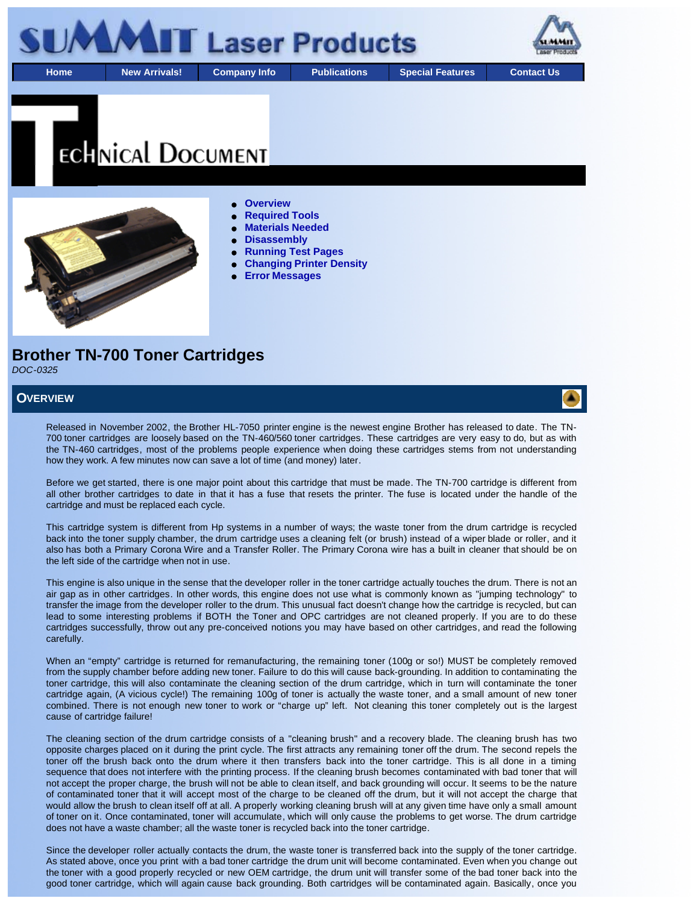

# **ECHNICAL DOCUMENT**



#### **Overview**

- **Required Tools**
- **Materials Needed**
- **Disassembly**
- **Running Test Pages**
- **Changing Printer Density**
- **Error Messages**

# **Brother TN-700 Toner Cartridges**

*DOC-0325*

#### **OVERVIEW**

Released in November 2002, the Brother HL-7050 printer engine is the newest engine Brother has released to date. The TN-700 toner cartridges are loosely based on the TN-460/560 toner cartridges. These cartridges are very easy to do, but as with the TN-460 cartridges, most of the problems people experience when doing these cartridges stems from not understanding how they work. A few minutes now can save a lot of time (and money) later.

Before we get started, there is one major point about this cartridge that must be made. The TN-700 cartridge is different from all other brother cartridges to date in that it has a fuse that resets the printer. The fuse is located under the handle of the cartridge and must be replaced each cycle.

This cartridge system is different from Hp systems in a number of ways; the waste toner from the drum cartridge is recycled back into the toner supply chamber, the drum cartridge uses a cleaning felt (or brush) instead of a wiper blade or roller, and it also has both a Primary Corona Wire and a Transfer Roller. The Primary Corona wire has a built in cleaner that should be on the left side of the cartridge when not in use.

This engine is also unique in the sense that the developer roller in the toner cartridge actually touches the drum. There is not an air gap as in other cartridges. In other words, this engine does not use what is commonly known as "jumping technology" to transfer the image from the developer roller to the drum. This unusual fact doesn't change how the cartridge is recycled, but can lead to some interesting problems if BOTH the Toner and OPC cartridges are not cleaned properly. If you are to do these cartridges successfully, throw out any pre-conceived notions you may have based on other cartridges, and read the following carefully.

When an "empty" cartridge is returned for remanufacturing, the remaining toner (100g or so!) MUST be completely removed from the supply chamber before adding new toner. Failure to do this will cause back-grounding. In addition to contaminating the toner cartridge, this will also contaminate the cleaning section of the drum cartridge, which in turn will contaminate the toner cartridge again, (A vicious cycle!) The remaining 100g of toner is actually the waste toner, and a small amount of new toner combined. There is not enough new toner to work or "charge up" left. Not cleaning this toner completely out is the largest cause of cartridge failure!

The cleaning section of the drum cartridge consists of a "cleaning brush" and a recovery blade. The cleaning brush has two opposite charges placed on it during the print cycle. The first attracts any remaining toner off the drum. The second repels the toner off the brush back onto the drum where it then transfers back into the toner cartridge. This is all done in a timing sequence that does not interfere with the printing process. If the cleaning brush becomes contaminated with bad toner that will not accept the proper charge, the brush will not be able to clean itself, and back grounding will occur. It seems to be the nature of contaminated toner that it will accept most of the charge to be cleaned off the drum, but it will not accept the charge that would allow the brush to clean itself off at all. A properly working cleaning brush will at any given time have only a small amount of toner on it. Once contaminated, toner will accumulate, which will only cause the problems to get worse. The drum cartridge does not have a waste chamber; all the waste toner is recycled back into the toner cartridge.

Since the developer roller actually contacts the drum, the waste toner is transferred back into the supply of the toner cartridge. As stated above, once you print with a bad toner cartridge the drum unit will become contaminated. Even when you change out the toner with a good properly recycled or new OEM cartridge, the drum unit will transfer some of the bad toner back into the good toner cartridge, which will again cause back grounding. Both cartridges will be contaminated again. Basically, once you

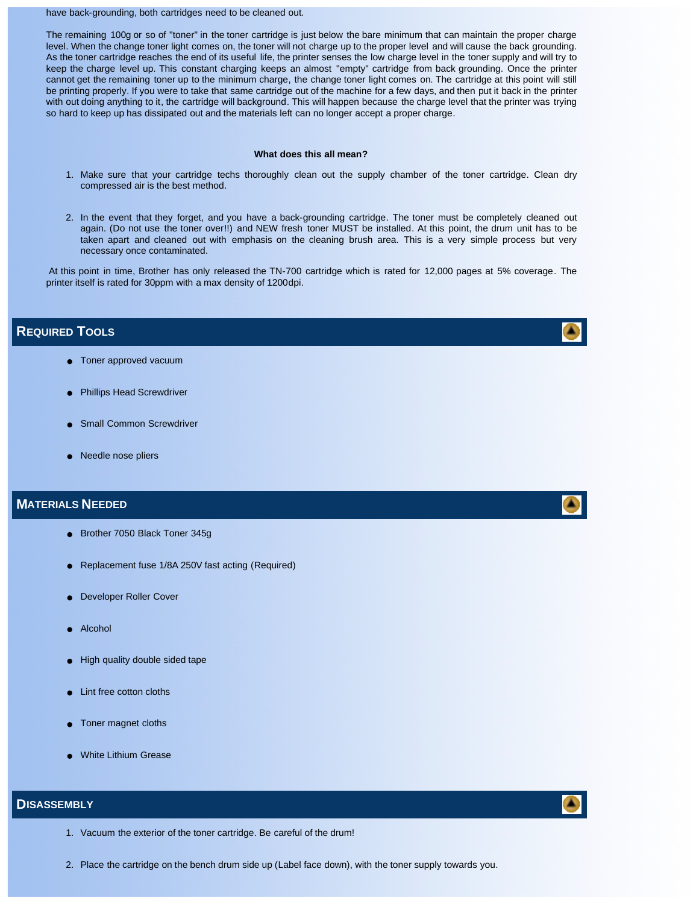#### have back-grounding, both cartridges need to be cleaned out.

The remaining 100g or so of "toner" in the toner cartridge is just below the bare minimum that can maintain the proper charge level. When the change toner light comes on, the toner will not charge up to the proper level and will cause the back grounding. As the toner cartridge reaches the end of its useful life, the printer senses the low charge level in the toner supply and will try to keep the charge level up. This constant charging keeps an almost "empty" cartridge from back grounding. Once the printer cannot get the remaining toner up to the minimum charge, the change toner light comes on. The cartridge at this point will still be printing properly. If you were to take that same cartridge out of the machine for a few days, and then put it back in the printer with out doing anything to it, the cartridge will background. This will happen because the charge level that the printer was trying so hard to keep up has dissipated out and the materials left can no longer accept a proper charge.

#### **What does this all mean?**

- 1. Make sure that your cartridge techs thoroughly clean out the supply chamber of the toner cartridge. Clean dry compressed air is the best method.
- 2. In the event that they forget, and you have a back-grounding cartridge. The toner must be completely cleaned out again. (Do not use the toner over!!) and NEW fresh toner MUST be installed. At this point, the drum unit has to be taken apart and cleaned out with emphasis on the cleaning brush area. This is a very simple process but very necessary once contaminated.

 At this point in time, Brother has only released the TN-700 cartridge which is rated for 12,000 pages at 5% coverage. The printer itself is rated for 30ppm with a max density of 1200dpi.

#### **REQUIRED TOOLS**

- **•** Toner approved vacuum
- **•** Phillips Head Screwdriver
- Small Common Screwdriver
- Needle nose pliers

#### **MATERIALS NEEDED**

- Brother 7050 Black Toner 345g
- Replacement fuse 1/8A 250V fast acting (Required)
- **Developer Roller Cover**
- Alcohol
- High quality double sided tape
- Lint free cotton cloths
- Toner magnet cloths
- **White Lithium Grease**

#### **DISASSEMBLY**

- 1. Vacuum the exterior of the toner cartridge. Be careful of the drum!
- 2. Place the cartridge on the bench drum side up (Label face down), with the toner supply towards you.







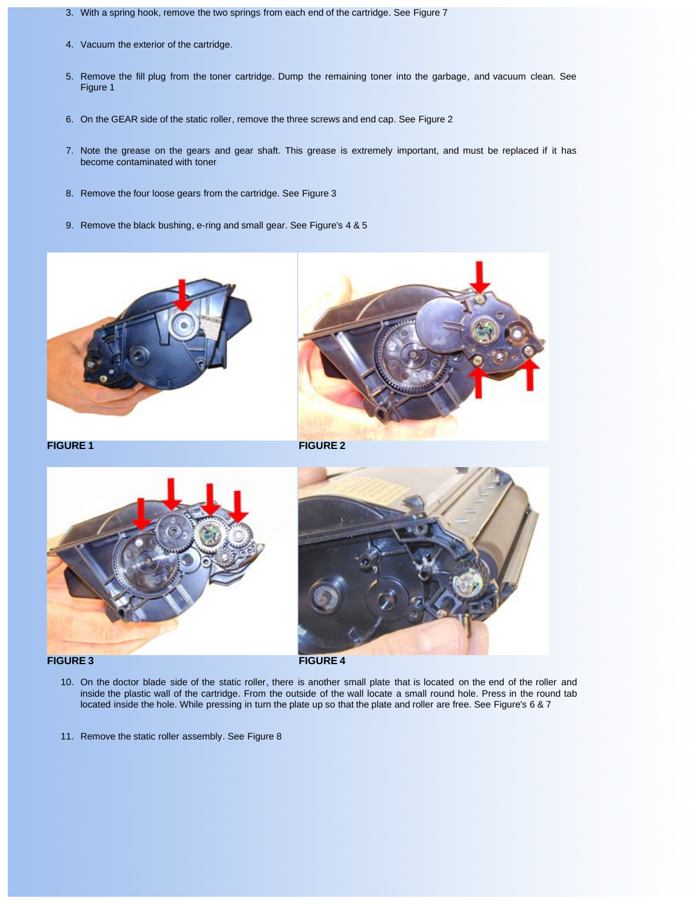- 3. With a spring hook, remove the two springs from each end of the cartridge. See Figure 7
- 4. Vacuum the exterior of the cartridge.
- 5. Remove the fill plug from the toner cartridge. Dump the remaining toner into the garbage, and vacuum clean. See Figure 1
- 6. On the GEAR side of the static roller, remove the three screws and end cap. See Figure 2
- 7. Note the grease on the gears and gear shaft. This grease is extremely important, and must be replaced if it has become contaminated with toner
- 8. Remove the four loose gears from the cartridge. See Figure 3
- 9. Remove the black bushing, e-ring and small gear. See Figure's 4 & 5





**FIGURE 1 FIGURE 2**





- 10. On the doctor blade side of the static roller, there is another small plate that is located on the end of the roller and inside the plastic wall of the cartridge. From the outside of the wall locate a small round hole. Press in the round tab located inside the hole. While pressing in turn the plate up so that the plate and roller are free. See Figure's 6 & 7
- 11. Remove the static roller assembly. See Figure 8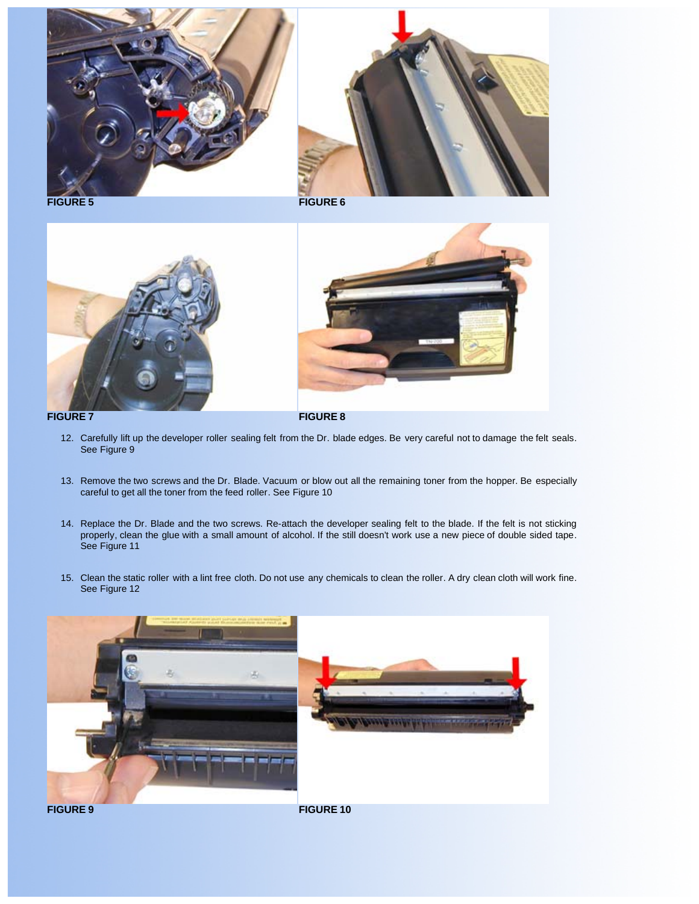



**FIGURE 5 FIGURE 6**









- 12. Carefully lift up the developer roller sealing felt from the Dr. blade edges. Be very careful not to damage the felt seals. See Figure 9
- 13. Remove the two screws and the Dr. Blade. Vacuum or blow out all the remaining toner from the hopper. Be especially careful to get all the toner from the feed roller. See Figure 10
- 14. Replace the Dr. Blade and the two screws. Re-attach the developer sealing felt to the blade. If the felt is not sticking properly, clean the glue with a small amount of alcohol. If the still doesn't work use a new piece of double sided tape. See Figure 11
- 15. Clean the static roller with a lint free cloth. Do not use any chemicals to clean the roller. A dry clean cloth will work fine. See Figure 12

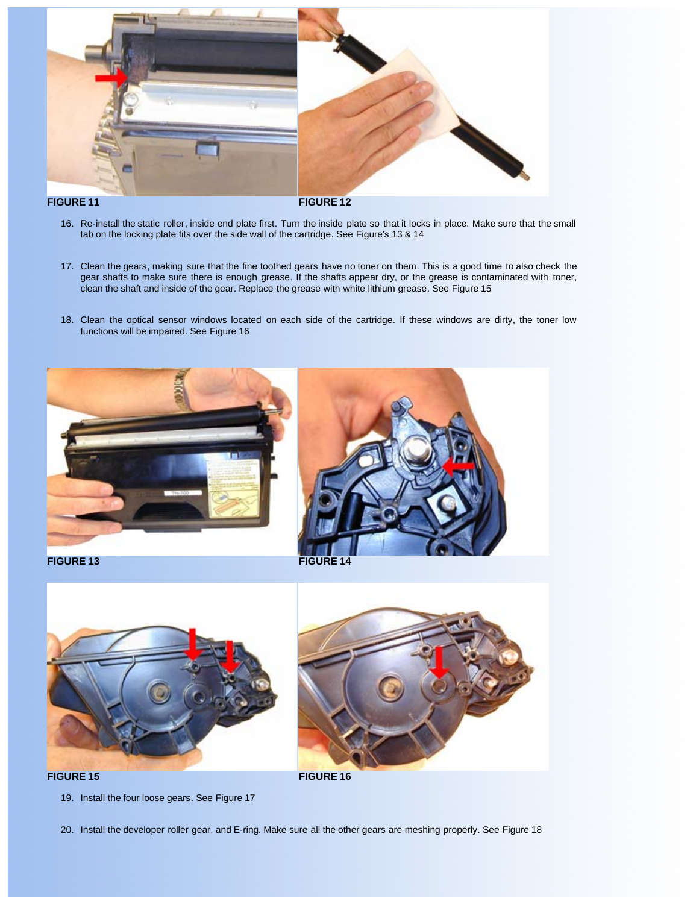

- 16. Re-install the static roller, inside end plate first. Turn the inside plate so that it locks in place. Make sure that the small tab on the locking plate fits over the side wall of the cartridge. See Figure's 13 & 14
- 17. Clean the gears, making sure that the fine toothed gears have no toner on them. This is a good time to also check the gear shafts to make sure there is enough grease. If the shafts appear dry, or the grease is contaminated with toner, clean the shaft and inside of the gear. Replace the grease with white lithium grease. See Figure 15
- 18. Clean the optical sensor windows located on each side of the cartridge. If these windows are dirty, the toner low functions will be impaired. See Figure 16







19. Install the four loose gears. See Figure 17

20. Install the developer roller gear, and E-ring. Make sure all the other gears are meshing properly. See Figure 18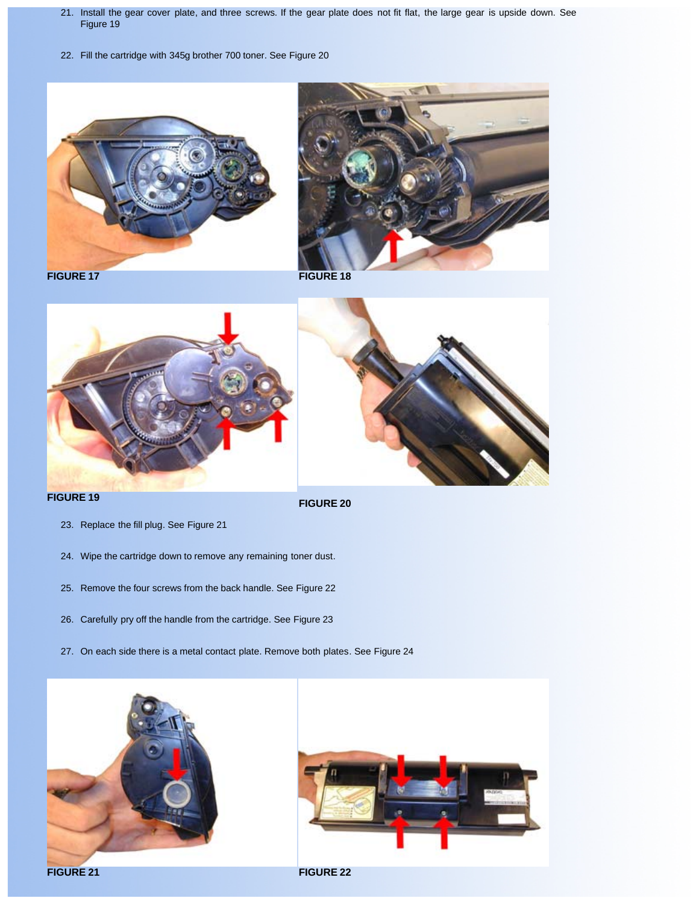- 21. Install the gear cover plate, and three screws. If the gear plate does not fit flat, the large gear is upside down. See Figure 19
- 22. Fill the cartridge with 345g brother 700 toner. See Figure 20





**FIGURE 17 FIGURE 18** 



- 23. Replace the fill plug. See Figure 21
- 24. Wipe the cartridge down to remove any remaining toner dust.
- 25. Remove the four screws from the back handle. See Figure 22
- 26. Carefully pry off the handle from the cartridge. See Figure 23
- 27. On each side there is a metal contact plate. Remove both plates. See Figure 24



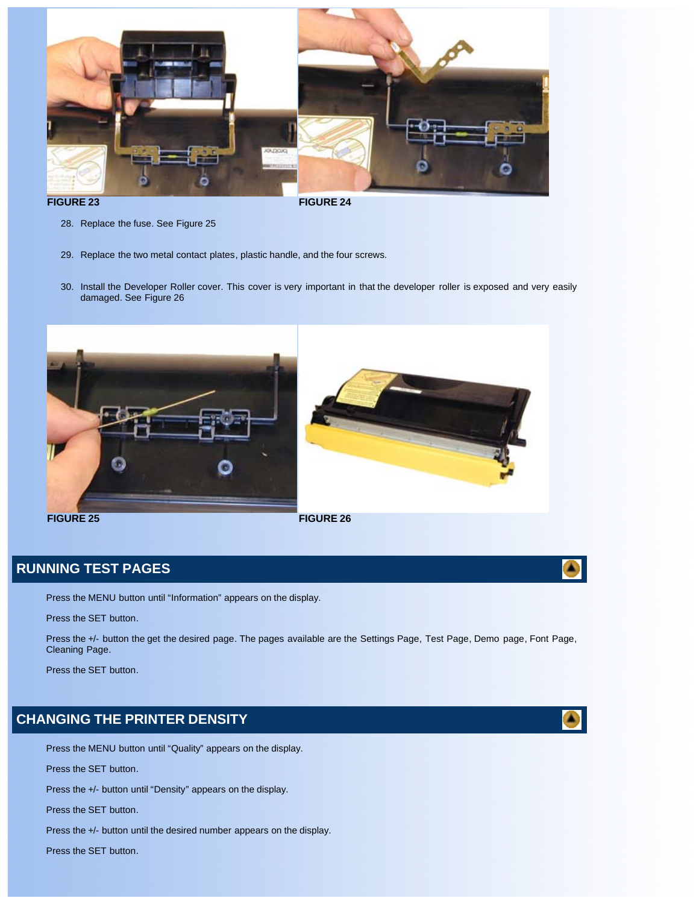

- 28. Replace the fuse. See Figure 25
- 29. Replace the two metal contact plates, plastic handle, and the four screws.
- 30. Install the Developer Roller cover. This cover is very important in that the developer roller is exposed and very easily damaged. See Figure 26



## **RUNNING TEST PAGES**

Press the MENU button until "Information" appears on the display.

Press the SET button.

Press the +/- button the get the desired page. The pages available are the Settings Page, Test Page, Demo page, Font Page, Cleaning Page.

Press the SET button.

# **CHANGING THE PRINTER DENSITY**

Press the MENU button until "Quality" appears on the display.

Press the SET button.

Press the +/- button until "Density" appears on the display.

Press the SET button.

Press the +/- button until the desired number appears on the display.

Press the SET button.



A